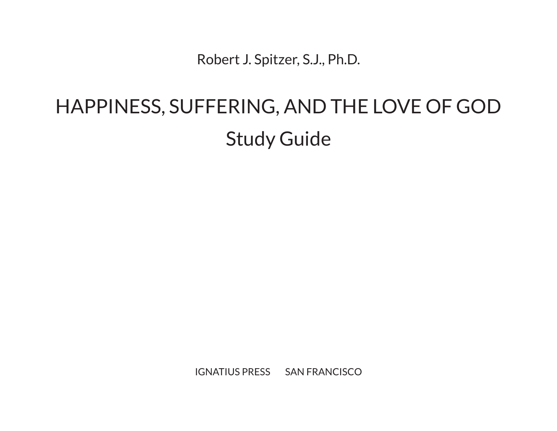Robert J. Spitzer, S.J., Ph.D.

# HAPPINESS, SUFFERING, AND THE LOVE OF GOD Study Guide

IGNATIUS PRESS SAN FRANCISCO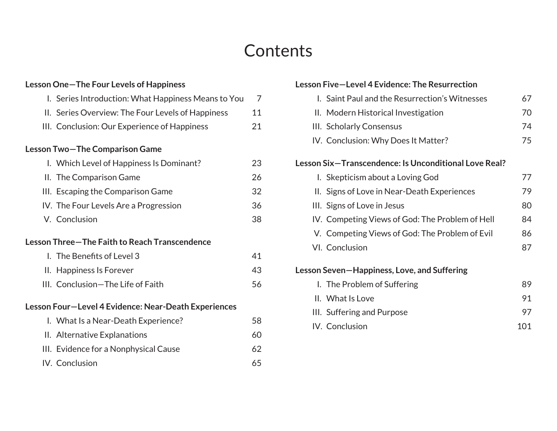### **Contents**

#### **Lesson One—The Four Levels of Happiness** I. Series Introduction: What Happiness Means to You 7 II. Series Overview: The Four Levels of Happiness 11 III. Conclusion: Our Experience of Happiness 21 **Lesson Two—The Comparison Game** I. Which Level of Happiness Is Dominant? 23 II. The Comparison Game 26 III. Escaping the Comparison Game IV. The Four Levels Are a Progression 36 V. Conclusion 38 **Lesson Three—The Faith to Reach Transcendence** I. The Benefits of Level 3 41 II. Happiness Is Forever 43 III. Conclusion—The Life of Faith 56 **Lesson Four—Level 4 Evidence: Near-Death Experiences** I. What Is a Near-Death Experience? 58 II. Alternative Explanations 60 III. Evidence for a Nonphysical Cause 62 IV. Conclusion 65

#### **Lesson Five—Level 4 Evidence: The Resurrection** I. Saint Paul and the Resurrection's Witnesses 67 II. Modern Historical Investigation 70 III. Scholarly Consensus 74 IV. Conclusion: Why Does It Matter? 75 **Lesson Six—Transcendence: Is Unconditional Love Real?** I. Skepticism about a Loving God 77 II. Signs of Love in Near-Death Experiences 79 III. Signs of Love in Jesus 80 IV. Competing Views of God: The Problem of Hell 84 V. Competing Views of God: The Problem of Evil 86 VI. Conclusion 87 **Lesson Seven—Happiness, Love, and Suffering** I. The Problem of Suffering 89 II. What Is Love 91 III. Suffering and Purpose 97 IV. Conclusion 101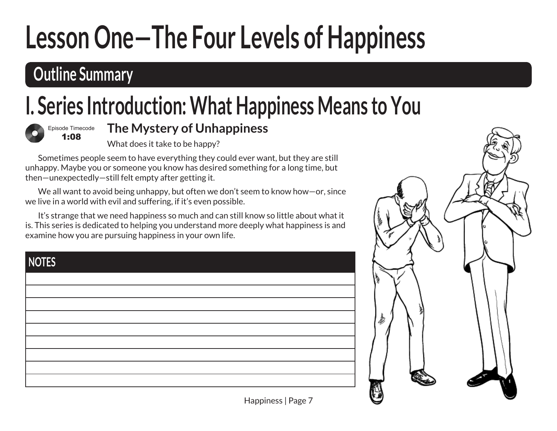# **Outline Summary**

# **I. Series Introduction: What Happiness Means to You**



#### **The Mystery of Unhappiness**

What does it take to be happy?

Sometimes people seem to have everything they could ever want, but they are still unhappy. Maybe you or someone you know has desired something for a long time, but then—unexpectedly—still felt empty after getting it.

We all want to avoid being unhappy, but often we don't seem to know how-or, since we live in a world with evil and suffering, if it's even possible.

It's strange that we need happiness so much and can still know so little about what it is. This series is dedicated to helping you understand more deeply what happiness is and examine how you are pursuing happiness in your own life.

| <b>NOTES</b> |  |  |
|--------------|--|--|
|              |  |  |
|              |  |  |
|              |  |  |
|              |  |  |
|              |  |  |
|              |  |  |
|              |  |  |
|              |  |  |
|              |  |  |

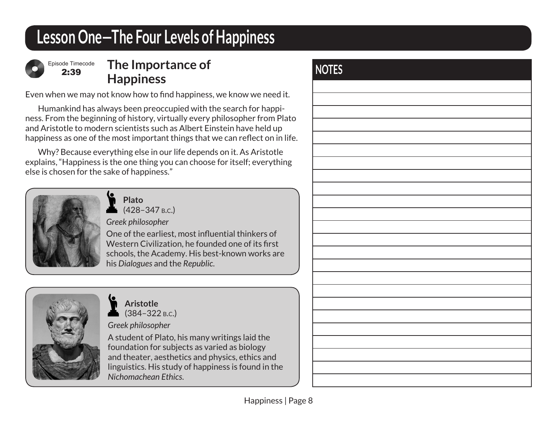

2:39

#### **NOTES The Importance of Happiness**

Even when we may not know how to find happiness, we know we need it.

Humankind has always been preoccupied with the search for happiness. From the beginning of history, virtually every philosopher from Plato and Aristotle to modern scientists such as Albert Einstein have held up happiness as one of the most important things that we can reflect on in life.

Why? Because everything else in our life depends on it. As Aristotle explains, "Happiness is the one thing you can choose for itself; everything else is chosen for the sake of happiness."



**Plato** (428–347 b.c.)

*Greek philosopher*

One of the earliest, most influential thinkers of Western Civilization, he founded one of its first schools, the Academy. His best-known works are his *Dialogues* and the *Republic*.



**Aristotle** (384–322 b.c.)

*Greek philosopher* 

A student of Plato, his many writings laid the foundation for subjects as varied as biology and theater, aesthetics and physics, ethics and linguistics. His study of happiness is found in the *Nichomachean Ethics*.

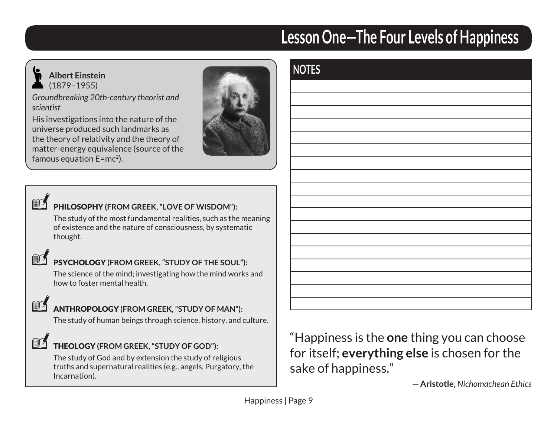

#### **Albert Einstein** (1879–1955)

*Groundbreaking 20th-century theorist and scientist* 

His investigations into the nature of the universe produced such landmarks as the theory of relativity and the theory of matter-energy equivalence (source of the famous equation  $E=mc^2$ ).



**NOTES**



#### PHILOSOPHY **(FROM GREEK, "LOVE OF WISDOM"):**

The study of the most fundamental realities, such as the meaning of existence and the nature of consciousness, by systematic thought.



#### PSYCHOLOGY **(FROM GREEK, "STUDY OF THE SOUL"):**

The science of the mind; investigating how the mind works and how to foster mental health.



#### ANTHROPOLOGY **(FROM GREEK, "STUDY OF MAN"):**

The study of human beings through science, history, and culture.

#### THEOLOGY **(FROM GREEK, "STUDY OF GOD"):**

The study of God and by extension the study of religious truths and supernatural realities (e.g., angels, Purgatory, the Incarnation).

"Happiness is the **one** thing you can choose for itself; **everything else** is chosen for the sake of happiness."

**—Aristotle,** *Nichomachean Ethics*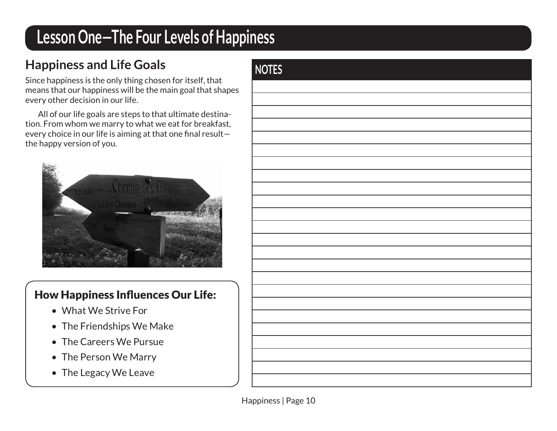## **Happiness and Life Goals NOTES**

Since happiness is the only thing chosen for itself, that means that our happiness will be the main goal that shapes every other decision in our life.

All of our life goals are steps to that ultimate destination. From whom we marry to what we eat for breakfast, every choice in our life is aiming at that one final result the happy version of you.



#### How Happiness Influences Our Life:

- What We Strive For
- The Friendships We Make
- The Careers We Pursue
- The Person We Marry
- The Legacy We Leave

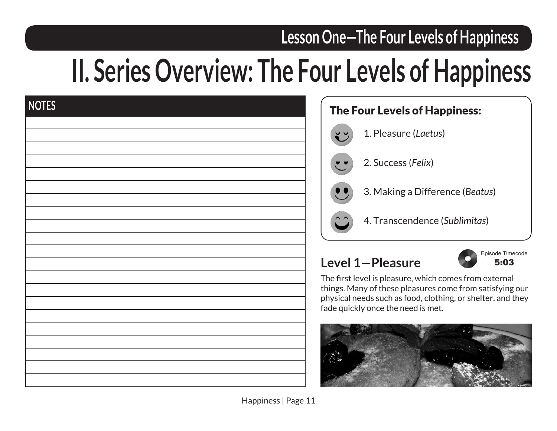# **II. Series Overview: The Four Levels of Happiness**

| <b>NOTES</b> |  |  |  |
|--------------|--|--|--|
|              |  |  |  |
|              |  |  |  |
|              |  |  |  |
|              |  |  |  |
|              |  |  |  |
|              |  |  |  |
|              |  |  |  |
|              |  |  |  |
|              |  |  |  |
|              |  |  |  |
|              |  |  |  |
|              |  |  |  |
|              |  |  |  |
|              |  |  |  |
|              |  |  |  |
|              |  |  |  |
|              |  |  |  |
|              |  |  |  |
|              |  |  |  |



#### **Level 1—Pleasure**



The first level is pleasure, which comes from external things. Many of these pleasures come from satisfying our physical needs such as food, clothing, or shelter, and they fade quickly once the need is met.

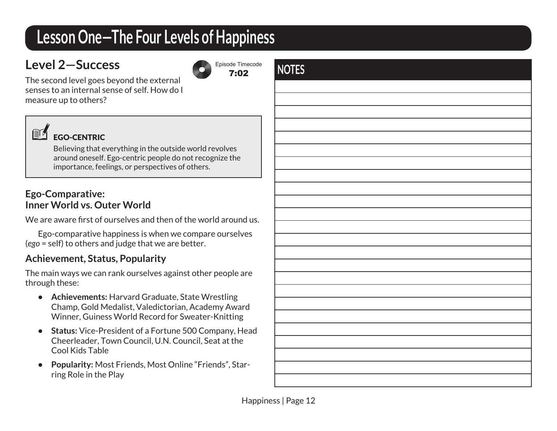#### **Level 2—Success**



The second level goes beyond the external senses to an internal sense of self. How do I measure up to others?



#### EGO-CENTRIC

Believing that everything in the outside world revolves around oneself. Ego-centric people do not recognize the importance, feelings, or perspectives of others.

#### **Ego-Comparative: Inner World vs. Outer World**

We are aware first of ourselves and then of the world around us.

Ego-comparative happiness is when we compare ourselves (*ego* = self) to others and judge that we are better.

#### **Achievement, Status, Popularity**

The main ways we can rank ourselves against other people are through these:

- **Achievements:** Harvard Graduate, State Wrestling Champ, Gold Medalist, Valedictorian, Academy Award Winner, Guiness World Record for Sweater-Knitting
- **Status:** Vice-President of a Fortune 500 Company, Head Cheerleader, Town Council, U.N. Council, Seat at the Cool Kids Table
- **Popularity:** Most Friends, Most Online "Friends", Starring Role in the Play

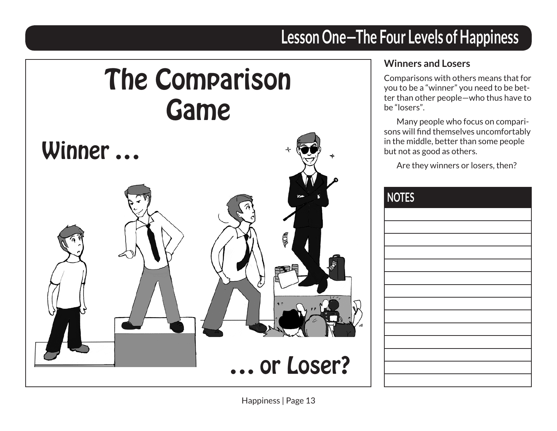# The Comparison Game



#### **Winners and Losers**

Comparisons with others means that for you to be a "winner" you need to be better than other people—who thus have to be "losers".

Many people who focus on comparisons will find themselves uncomfortably in the middle, better than some people but not as good as others.

Are they winners or losers, then?

| <b>NOTES</b> |
|--------------|
|              |
|              |
|              |
|              |
|              |
|              |
|              |
|              |
|              |
|              |
|              |
|              |
|              |
|              |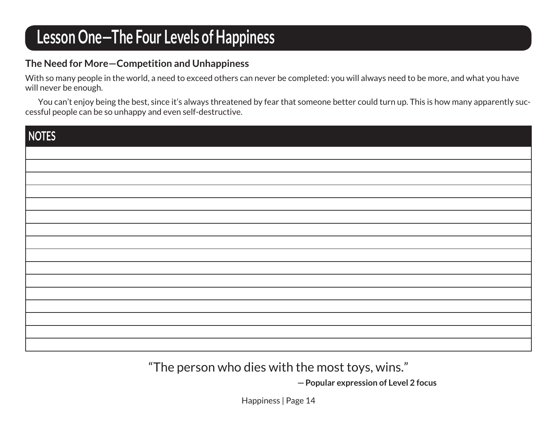#### **The Need for More—Competition and Unhappiness**

With so many people in the world, a need to exceed others can never be completed: you will always need to be more, and what you have will never be enough.

You can't enjoy being the best, since it's always threatened by fear that someone better could turn up. This is how many apparently successful people can be so unhappy and even self-destructive.

| NOTES |  |
|-------|--|
|       |  |
|       |  |
|       |  |
|       |  |
|       |  |
|       |  |
|       |  |
|       |  |
|       |  |
|       |  |
|       |  |
|       |  |

"The person who dies with the most toys, wins."

**—Popular expression of Level 2 focus**

Happiness | Page 14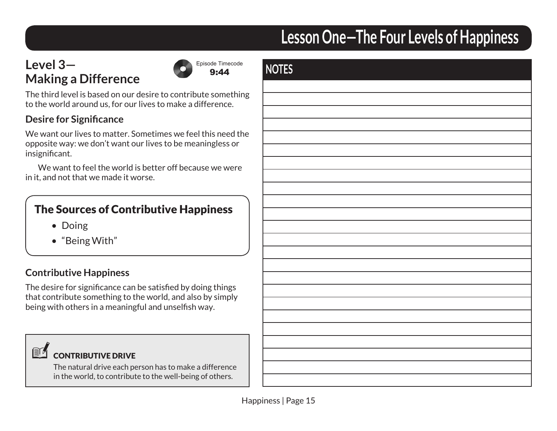#### **Level 3— Making a Difference**



The third level is based on our desire to contribute something to the world around us, for our lives to make a difference.

#### **Desire for Significance**

We want our lives to matter. Sometimes we feel this need the opposite way: we don't want our lives to be meaningless or insignificant.

We want to feel the world is better off because we were in it, and not that we made it worse.

#### The Sources of Contributive Happiness

- Doing
- "Being With"

#### **Contributive Happiness**

The desire for significance can be satisfied by doing things that contribute something to the world, and also by simply being with others in a meaningful and unselfish way.



#### CONTRIBUTIVE DRIVE

The natural drive each person has to make a difference in the world, to contribute to the well-being of others.

|    | NOTES |
|----|-------|
| ng |       |
|    |       |
|    |       |
| he |       |
|    |       |
|    |       |
|    |       |
|    |       |
|    |       |
|    |       |
|    |       |
|    |       |
|    |       |
|    |       |
|    |       |
|    |       |
|    |       |
|    |       |
|    |       |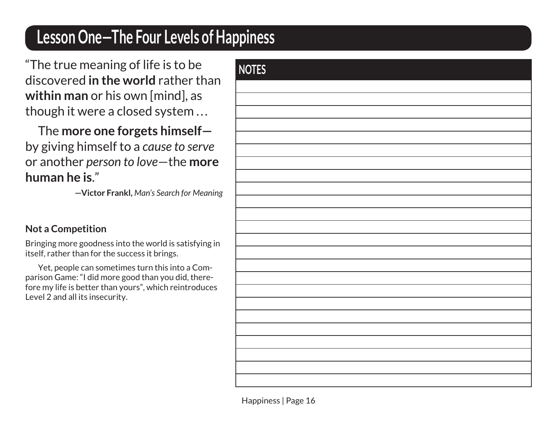"The true meaning of life is to be discovered **in the world** rather than **within man** or his own [mind], as though it were a closed system ...

The **more one forgets himself** by giving himself to a *cause to serve*  or another *person to love*—the **more human he is**."

**—Victor Frankl,** *Man's Search for Meaning*

#### **Not a Competition**

Bringing more goodness into the world is satisfying in itself, rather than for the success it brings.

Yet, people can sometimes turn this into a Comparison Game: "I did more good than you did, therefore my life is better than yours", which reintroduces Level 2 and all its insecurity.

| NOTES |
|-------|
|       |
|       |
|       |
|       |
|       |
|       |
|       |
|       |
|       |
|       |
|       |
|       |
|       |
|       |
|       |
|       |
|       |
|       |
|       |
|       |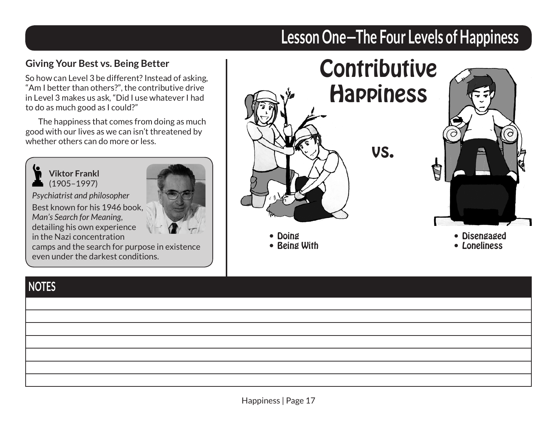#### **Giving Your Best vs. Being Better**

So how can Level 3 be different? Instead of asking, "Am I better than others?", the contributive drive in Level 3 makes us ask, "Did I use whatever I had to do as much good as I could?"

The happiness that comes from doing as much good with our lives as we can isn't threatened by whether others can do more or less.



#### *Psychiatrist and philosopher*

Best known for his 1946 book, *Man's Search for Meaning*, detailing his own experience in the Nazi concentration



camps and the search for purpose in existence even under the darkest conditions.

# **Lesson One—The Four Levels of Happiness**



#### **NOTES**

| <b>NUILS</b> |  |
|--------------|--|
|              |  |
|              |  |
|              |  |
|              |  |
|              |  |
|              |  |
|              |  |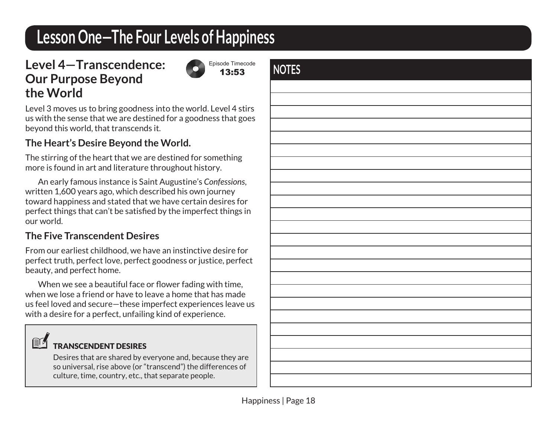#### **Level 4—Transcendence: Our Purpose Beyond the World**

Episode Timecode 13:53

Level 3 moves us to bring goodness into the world. Level 4 stirs us with the sense that we are destined for a goodness that goes beyond this world, that transcends it.

#### **The Heart's Desire Beyond the World.**

The stirring of the heart that we are destined for something more is found in art and literature throughout history.

An early famous instance is Saint Augustine's *Confessions*, written 1,600 years ago, which described his own journey toward happiness and stated that we have certain desires for perfect things that can't be satisfied by the imperfect things in our world.

#### **The Five Transcendent Desires**

From our earliest childhood, we have an instinctive desire for perfect truth, perfect love, perfect goodness or justice, perfect beauty, and perfect home.

When we see a beautiful face or flower fading with time, when we lose a friend or have to leave a home that has made us feel loved and secure—these imperfect experiences leave us with a desire for a perfect, unfailing kind of experience.

#### TRANSCENDENT DESIRES

Desires that are shared by everyone and, because they are so universal, rise above (or "transcend") the differences of culture, time, country, etc., that separate people.

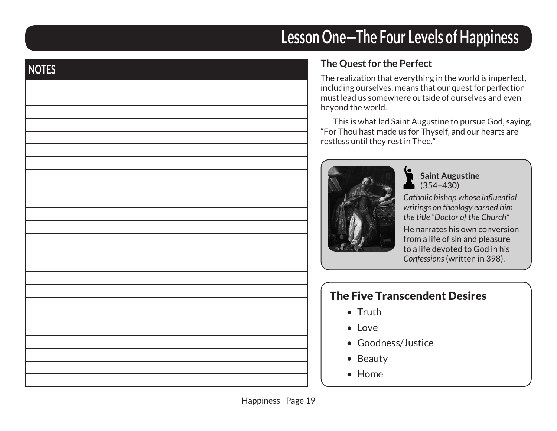# **NOTES**

# **Lesson One—The Four Levels of Happiness**

#### **The Quest for the Perfect**

The realization that everything in the world is imperfect, including ourselves, means that our quest for perfection must lead us somewhere outside of ourselves and even beyond the world.

This is what led Saint Augustine to pursue God, saying, "For Thou hast made us for Thyself, and our hearts are restless until they rest in Thee."



**Saint Augustine**  $(354 - 430)$ 

*Catholic bishop whose influential writings on theology earned him the title "Doctor of the Church"* 

He narrates his own conversion from a life of sin and pleasure to a life devoted to God in his *Confessions* (written in 398).

#### The Five Transcendent Desires

- Truth
- Love
- Goodness/Justice
- Beauty
- Home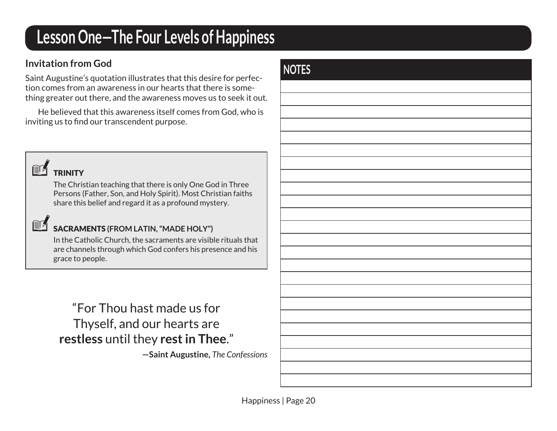#### **Invitation from God**

Saint Augustine's quotation illustrates that this desire for perfection comes from an awareness in our hearts that there is something greater out there, and the awareness moves us to seek it out.

He believed that this awareness itself comes from God, who is inviting us to find our transcendent purpose.



 $\mathbb{R}^n$ 

**TRINITY** 

The Christian teaching that there is only One God in Three Persons (Father, Son, and Holy Spirit). Most Christian faiths share this belief and regard it as a profound mystery.

#### SACRAMENTS **(FROM LATIN, "MADE HOLY")**

In the Catholic Church, the sacraments are visible rituals that are channels through which God confers his presence and his grace to people.

#### "For Thou hast made us for Thyself, and our hearts are **restless** until they **rest in Thee**."

**—Saint Augustine,** *The Confessions*

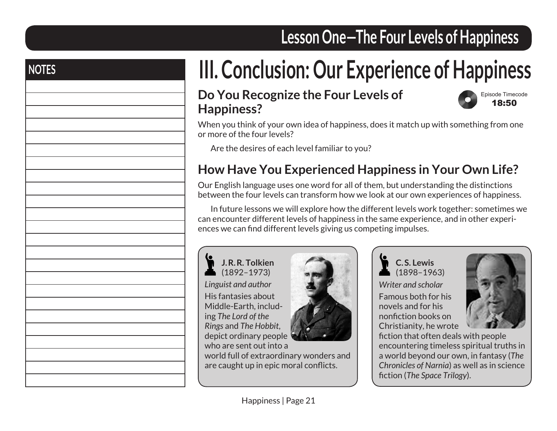# **NOTES III. Conclusion: Our Experience of Happiness**

#### **Do You Recognize the Four Levels of Happiness?**



When you think of your own idea of happiness, does it match up with something from one or more of the four levels?

Are the desires of each level familiar to you?

#### **How Have You Experienced Happiness in Your Own Life?**

Our English language uses one word for all of them, but understanding the distinctions between the four levels can transform how we look at our own experiences of happiness.

In future lessons we will explore how the different levels work together: sometimes we can encounter different levels of happiness in the same experience, and in other experiences we can find different levels giving us competing impulses.



**J.R.R. Tolkien** (1892–1973) *Linguist and author* His fantasies about Middle-Earth, including *The Lord of the Rings* and *The Hobbit*, depict ordinary people who are sent out into a



world full of extraordinary wonders and are caught up in epic moral conflicts.

**C.S. Lewis** (1898–1963) *Writer and scholar*

Famous both for his novels and for his nonfiction books on Christianity, he wrote



fiction that often deals with people encountering timeless spiritual truths in a world beyond our own, in fantasy (*The Chronicles of Narnia*) as well as in science fiction (*The Space Trilogy*).